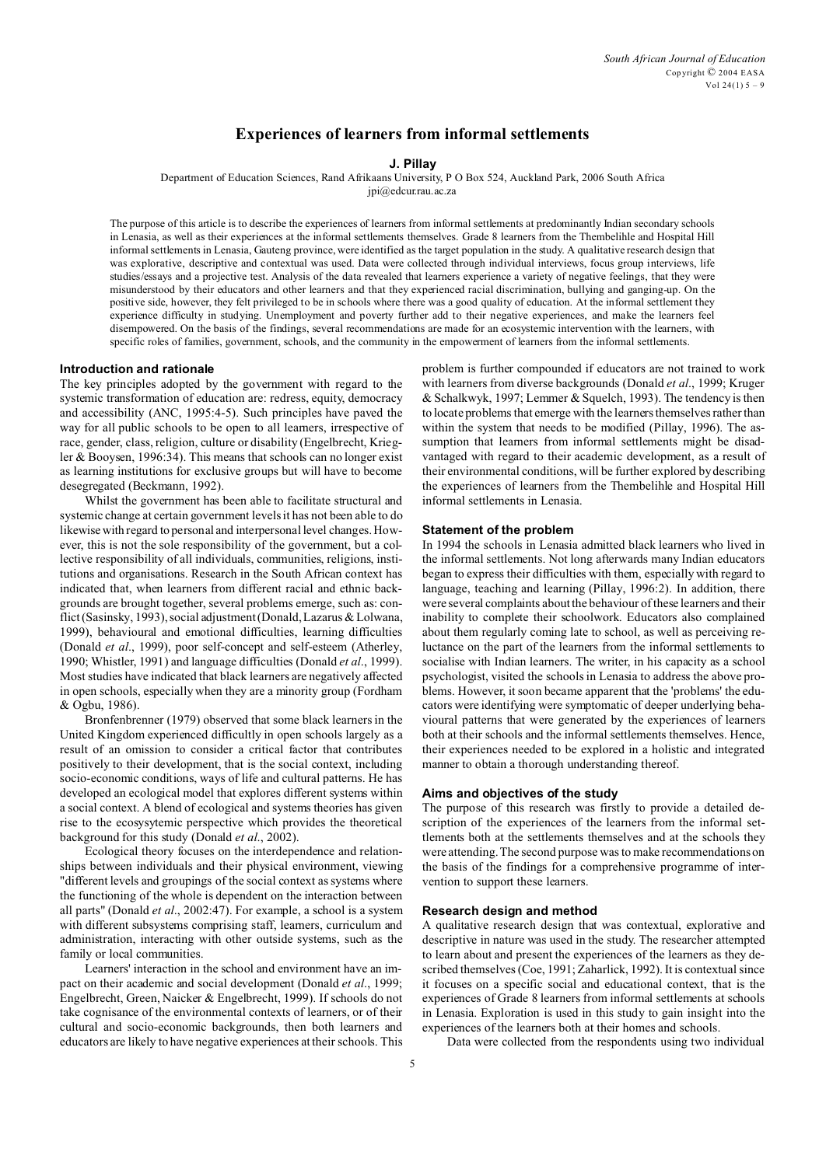# **Experiences of learners from informal settlements**

# **J. Pillay**

Department of Education Sciences, Rand Afrikaans University, P O Box 524, Auckland Park, 2006 South Africa

jpi@edcur.rau.ac.za

The purpose of this article is to describe the experiences of learners from informal settlements at predominantly Indian secondary schools in Lenasia, as well as their experiences at the informal settlements themselves. Grade 8 learners from the Thembelihle and Hospital Hill informal settlements in Lenasia, Gauteng province, were identified as the target population in the study. A qualitative research design that was explorative, descriptive and contextual was used. Data were collected through individual interviews, focus group interviews, life studies/essays and a projective test. Analysis of the data revealed that learners experience a variety of negative feelings, that they were misunderstood by their educators and other learners and that they experienced racial discrimination, bullying and ganging-up. On the positive side, however, they felt privileged to be in schools where there was a good quality of education. At the informal settlement they experience difficulty in studying. Unemployment and poverty further add to their negative experiences, and make the learners feel disempowered. On the basis of the findings, several recommendations are made for an ecosystemic intervention with the learners, with specific roles of families, government, schools, and the community in the empowerment of learners from the informal settlements.

# **Introduction and rationale**

The key principles adopted by the government with regard to the systemic transformation of education are: redress, equity, democracy and accessibility (ANC, 1995:4-5). Such principles have paved the way for all public schools to be open to all learners, irrespective of race, gender, class, religion, culture or disability (Engelbrecht, Kriegler & Booysen, 1996:34). This means that schools can no longer exist as learning institutions for exclusive groups but will have to become desegregated (Beckmann, 1992).

Whilst the government has been able to facilitate structural and systemic change at certain government levels it has not been able to do likewise with regard to personal and interpersonal level changes. However, this is not the sole responsibility of the government, but a collective responsibility of all individuals, communities, religions, institutions and organisations. Research in the South African context has indicated that, when learners from different racial and ethnic backgrounds are brought together, several problems emerge, such as: conflict (Sasinsky, 1993), social adjustment (Donald, Lazarus & Lolwana, 1999), behavioural and emotional difficulties, learning difficulties (Donald *et al*., 1999), poor self-concept and self-esteem (Atherley, 1990; Whistler, 1991) and language difficulties (Donald *et al*., 1999). Most studies have indicated that black learners are negatively affected in open schools, especially when they are a minority group (Fordham & Ogbu, 1986).

Bronfenbrenner (1979) observed that some black learners in the United Kingdom experienced difficultly in open schools largely as a result of an omission to consider a critical factor that contributes positively to their development, that is the social context, including socio-economic conditions, ways of life and cultural patterns. He has developed an ecological model that explores different systems within a social context. A blend of ecological and systems theories has given rise to the ecosysytemic perspective which provides the theoretical background for this study (Donald *et al*., 2002).

Ecological theory focuses on the interdependence and relationships between individuals and their physical environment, viewing "different levels and groupings of the social context as systems where the functioning of the whole is dependent on the interaction between all parts" (Donald *et al*., 2002:47). For example, a school is a system with different subsystems comprising staff, learners, curriculum and administration, interacting with other outside systems, such as the family or local communities.

Learners' interaction in the school and environment have an impact on their academic and social development (Donald *et al*., 1999; Engelbrecht, Green, Naicker & Engelbrecht, 1999). If schools do not take cognisance of the environmental contexts of learners, or of their cultural and socio-economic backgrounds, then both learners and educators are likely to have negative experiences at their schools. This

problem is further compounded if educators are not trained to work with learners from diverse backgrounds (Donald *et al*., 1999; Kruger & Schalkwyk, 1997; Lemmer & Squelch, 1993). The tendency is then to locate problems that emerge with the learners themselves rather than within the system that needs to be modified (Pillay, 1996). The assumption that learners from informal settlements might be disadvantaged with regard to their academic development, as a result of their environmental conditions, will be further explored by describing the experiences of learners from the Thembelihle and Hospital Hill informal settlements in Lenasia.

## **Statement of the problem**

In 1994 the schools in Lenasia admitted black learners who lived in the informal settlements. Not long afterwards many Indian educators began to express their difficulties with them, especially with regard to language, teaching and learning (Pillay, 1996:2). In addition, there were several complaints about the behaviour of these learners and their inability to complete their schoolwork. Educators also complained about them regularly coming late to school, as well as perceiving reluctance on the part of the learners from the informal settlements to socialise with Indian learners. The writer, in his capacity as a school psychologist, visited the schools in Lenasia to address the above problems. However, it soon became apparent that the 'problems' the educators were identifying were symptomatic of deeper underlying behavioural patterns that were generated by the experiences of learners both at their schools and the informal settlements themselves. Hence, their experiences needed to be explored in a holistic and integrated manner to obtain a thorough understanding thereof.

# **Aims and objectives of the study**

The purpose of this research was firstly to provide a detailed description of the experiences of the learners from the informal settlements both at the settlements themselves and at the schools they were attending. The second purpose was to make recommendations on the basis of the findings for a comprehensive programme of intervention to support these learners.

## **Research design and method**

A qualitative research design that was contextual, explorative and descriptive in nature was used in the study. The researcher attempted to learn about and present the experiences of the learners as they described themselves (Coe, 1991; Zaharlick, 1992). It is contextual since it focuses on a specific social and educational context, that is the experiences of Grade 8 learners from informal settlements at schools in Lenasia. Exploration is used in this study to gain insight into the experiences of the learners both at their homes and schools.

Data were collected from the respondents using two individual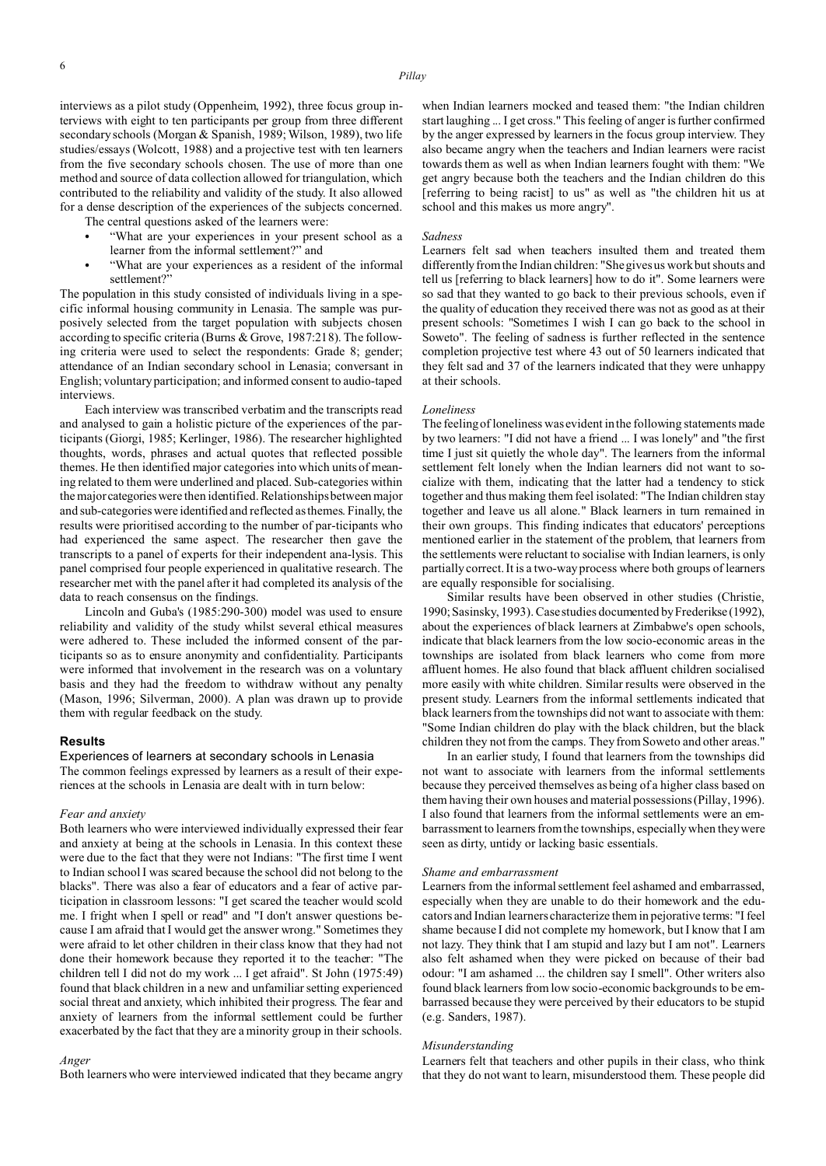- "What are your experiences in your present school as a learner from the informal settlement?" and
- "What are your experiences as a resident of the informal settlement?"

The population in this study consisted of individuals living in a specific informal housing community in Lenasia. The sample was purposively selected from the target population with subjects chosen according to specific criteria (Burns & Grove, 1987:218). The following criteria were used to select the respondents: Grade 8; gender; attendance of an Indian secondary school in Lenasia; conversant in English; voluntary participation; and informed consent to audio-taped interviews.

Each interview was transcribed verbatim and the transcripts read and analysed to gain a holistic picture of the experiences of the participants (Giorgi, 1985; Kerlinger, 1986). The researcher highlighted thoughts, words, phrases and actual quotes that reflected possible themes. He then identified major categories into which units of meaning related to them were underlined and placed. Sub-categories within the major categorieswere then identified. Relationships between major and sub-categories were identified and reflected as themes. Finally, the results were prioritised according to the number of par-ticipants who had experienced the same aspect. The researcher then gave the transcripts to a panel of experts for their independent ana-lysis. This panel comprised four people experienced in qualitative research. The researcher met with the panel after it had completed its analysis of the data to reach consensus on the findings.

Lincoln and Guba's (1985:290-300) model was used to ensure reliability and validity of the study whilst several ethical measures were adhered to. These included the informed consent of the participants so as to ensure anonymity and confidentiality. Participants were informed that involvement in the research was on a voluntary basis and they had the freedom to withdraw without any penalty (Mason, 1996; Silverman, 2000). A plan was drawn up to provide them with regular feedback on the study.

## **Results**

Experiences of learners at secondary schools in Lenasia The common feelings expressed by learners as a result of their experiences at the schools in Lenasia are dealt with in turn below:

# *Fear and anxiety*

Both learners who were interviewed individually expressed their fear and anxiety at being at the schools in Lenasia. In this context these were due to the fact that they were not Indians: "The first time I went to Indian school I was scared because the school did not belong to the blacks". There was also a fear of educators and a fear of active participation in classroom lessons: "I get scared the teacher would scold me. I fright when I spell or read" and "I don't answer questions because I am afraid that I would get the answer wrong." Sometimes they were afraid to let other children in their class know that they had not done their homework because they reported it to the teacher: "The children tell I did not do my work ... I get afraid". St John (1975:49) found that black children in a new and unfamiliar setting experienced social threat and anxiety, which inhibited their progress. The fear and anxiety of learners from the informal settlement could be further exacerbated by the fact that they are a minority group in their schools.

#### *Anger*

Both learners who were interviewed indicated that they became angry

when Indian learners mocked and teased them: "the Indian children start laughing ... I get cross." This feeling of anger is further confirmed by the anger expressed by learners in the focus group interview. They also became angry when the teachers and Indian learners were racist towards them as well as when Indian learners fought with them: "We get angry because both the teachers and the Indian children do this [referring to being racist] to us" as well as "the children hit us at school and this makes us more angry".

#### *Sadness*

Learners felt sad when teachers insulted them and treated them differently from the Indian children: "She gives us work but shouts and tell us [referring to black learners] how to do it". Some learners were so sad that they wanted to go back to their previous schools, even if the quality of education they received there was not as good as at their present schools: "Sometimes I wish I can go back to the school in Soweto". The feeling of sadness is further reflected in the sentence completion projective test where 43 out of 50 learners indicated that they felt sad and 37 of the learners indicated that they were unhappy at their schools.

#### *Loneliness*

The feeling of loneliness was evident in the following statements made by two learners: "I did not have a friend ... I was lonely" and "the first time I just sit quietly the whole day". The learners from the informal settlement felt lonely when the Indian learners did not want to socialize with them, indicating that the latter had a tendency to stick together and thus making them feel isolated: "The Indian children stay together and leave us all alone." Black learners in turn remained in their own groups. This finding indicates that educators' perceptions mentioned earlier in the statement of the problem, that learners from the settlements were reluctant to socialise with Indian learners, is only partially correct. It is a two-way process where both groups of learners are equally responsible for socialising.

Similar results have been observed in other studies (Christie, 1990; Sasinsky, 1993). Case studies documented by Frederikse (1992), about the experiences of black learners at Zimbabwe's open schools, indicate that black learners from the low socio-economic areas in the townships are isolated from black learners who come from more affluent homes. He also found that black affluent children socialised more easily with white children. Similar results were observed in the present study. Learners from the informal settlements indicated that black learners from the townships did not want to associate with them: "Some Indian children do play with the black children, but the black children they not from the camps. They from Soweto and other areas."

In an earlier study, I found that learners from the townships did not want to associate with learners from the informal settlements because they perceived themselves as being of a higher class based on them having their own houses and material possessions (Pillay, 1996). I also found that learners from the informal settlements were an embarrassment to learners from the townships, especially when they were seen as dirty, untidy or lacking basic essentials.

#### *Shame and embarrassment*

Learners from the informal settlement feel ashamed and embarrassed, especially when they are unable to do their homework and the educators and Indian learners characterize them in pejorative terms: "I feel shame because I did not complete my homework, but I know that I am not lazy. They think that I am stupid and lazy but I am not". Learners also felt ashamed when they were picked on because of their bad odour: "I am ashamed ... the children say I smell". Other writers also found black learners from low socio-economic backgrounds to be embarrassed because they were perceived by their educators to be stupid (e.g. Sanders, 1987).

#### *Misunderstanding*

Learners felt that teachers and other pupils in their class, who think that they do not want to learn, misunderstood them. These people did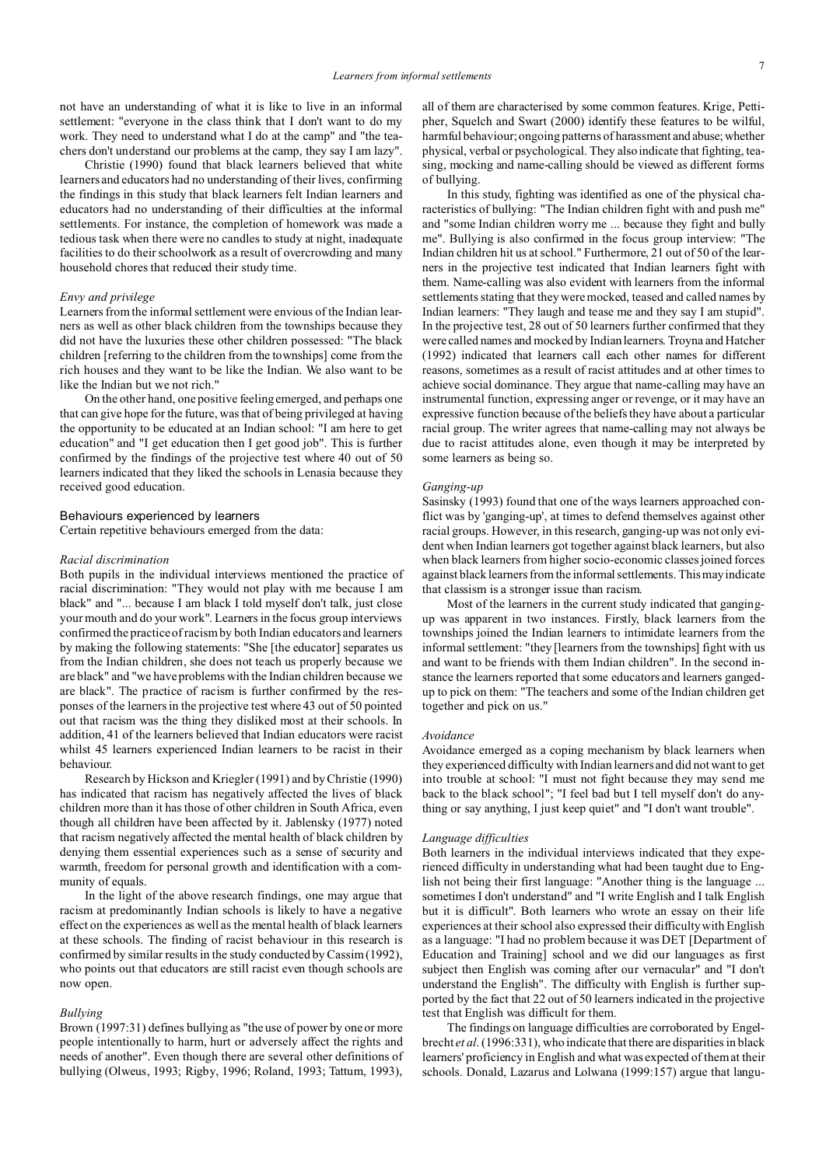not have an understanding of what it is like to live in an informal settlement: "everyone in the class think that I don't want to do my work. They need to understand what I do at the camp" and "the teachers don't understand our problems at the camp, they say I am lazy".

Christie (1990) found that black learners believed that white learners and educators had no understanding of their lives, confirming the findings in this study that black learners felt Indian learners and educators had no understanding of their difficulties at the informal settlements. For instance, the completion of homework was made a tedious task when there were no candles to study at night, inadequate facilities to do their schoolwork as a result of overcrowding and many household chores that reduced their study time.

#### *Envy and privilege*

Learners from the informal settlement were envious of the Indian learners as well as other black children from the townships because they did not have the luxuries these other children possessed: "The black children [referring to the children from the townships] come from the rich houses and they want to be like the Indian. We also want to be like the Indian but we not rich."

On the other hand, one positive feeling emerged, and perhaps one that can give hope for the future, was that of being privileged at having the opportunity to be educated at an Indian school: "I am here to get education" and "I get education then I get good job". This is further confirmed by the findings of the projective test where 40 out of 50 learners indicated that they liked the schools in Lenasia because they received good education.

#### Behaviours experienced by learners

Certain repetitive behaviours emerged from the data:

## *Racial discrimination*

Both pupils in the individual interviews mentioned the practice of racial discrimination: "They would not play with me because I am black" and "... because I am black I told myself don't talk, just close your mouth and do your work". Learners in the focus group interviews confirmed the practice of racism by both Indian educators and learners by making the following statements: "She [the educator] separates us from the Indian children, she does not teach us properly because we are black" and "we have problems with the Indian children because we are black". The practice of racism is further confirmed by the responses of the learners in the projective test where 43 out of 50 pointed out that racism was the thing they disliked most at their schools. In addition, 41 of the learners believed that Indian educators were racist whilst 45 learners experienced Indian learners to be racist in their behaviour.

Research by Hickson and Kriegler (1991) and by Christie (1990) has indicated that racism has negatively affected the lives of black children more than it has those of other children in South Africa, even though all children have been affected by it. Jablensky (1977) noted that racism negatively affected the mental health of black children by denying them essential experiences such as a sense of security and warmth, freedom for personal growth and identification with a community of equals.

In the light of the above research findings, one may argue that racism at predominantly Indian schools is likely to have a negative effect on the experiences as well as the mental health of black learners at these schools. The finding of racist behaviour in this research is confirmed by similar results in the study conducted by Cassim (1992), who points out that educators are still racist even though schools are now open.

#### *Bullying*

Brown (1997:31) defines bullying as "the use of power by one or more people intentionally to harm, hurt or adversely affect the rights and needs of another". Even though there are several other definitions of bullying (Olweus, 1993; Rigby, 1996; Roland, 1993; Tattum, 1993),

all of them are characterised by some common features. Krige, Pettipher, Squelch and Swart (2000) identify these features to be wilful, harmful behaviour; ongoing patterns of harassment and abuse; whether physical, verbal or psychological. They also indicate that fighting, teasing, mocking and name-calling should be viewed as different forms of bullying.

In this study, fighting was identified as one of the physical characteristics of bullying: "The Indian children fight with and push me" and "some Indian children worry me ... because they fight and bully me". Bullying is also confirmed in the focus group interview: "The Indian children hit us at school." Furthermore, 21 out of 50 of the learners in the projective test indicated that Indian learners fight with them. Name-calling was also evident with learners from the informal settlements stating that they were mocked, teased and called names by Indian learners: "They laugh and tease me and they say I am stupid". In the projective test, 28 out of 50 learners further confirmed that they were called names and mocked by Indian learners. Troyna and Hatcher (1992) indicated that learners call each other names for different reasons, sometimes as a result of racist attitudes and at other times to achieve social dominance. They argue that name-calling may have an instrumental function, expressing anger or revenge, or it may have an expressive function because of the beliefs they have about a particular racial group. The writer agrees that name-calling may not always be due to racist attitudes alone, even though it may be interpreted by some learners as being so.

#### *Ganging-up*

Sasinsky (1993) found that one of the ways learners approached conflict was by 'ganging-up', at times to defend themselves against other racial groups. However, in this research, ganging-up was not only evident when Indian learners got together against black learners, but also when black learners from higher socio-economic classes joined forces against black learners from the informal settlements. This may indicate that classism is a stronger issue than racism.

Most of the learners in the current study indicated that gangingup was apparent in two instances. Firstly, black learners from the townships joined the Indian learners to intimidate learners from the informal settlement: "they [learners from the townships] fight with us and want to be friends with them Indian children". In the second instance the learners reported that some educators and learners gangedup to pick on them: "The teachers and some of the Indian children get together and pick on us."

## *Avoidance*

Avoidance emerged as a coping mechanism by black learners when they experienced difficulty with Indian learners and did not want to get into trouble at school: "I must not fight because they may send me back to the black school"; "I feel bad but I tell myself don't do anything or say anything, I just keep quiet" and "I don't want trouble".

#### *Language difficulties*

Both learners in the individual interviews indicated that they experienced difficulty in understanding what had been taught due to English not being their first language: "Another thing is the language ... sometimes I don't understand" and "I write English and I talk English but it is difficult". Both learners who wrote an essay on their life experiences at their school also expressed their difficulty with English as a language: "I had no problem because it was DET [Department of Education and Training] school and we did our languages as first subject then English was coming after our vernacular" and "I don't understand the English". The difficulty with English is further supported by the fact that 22 out of 50 learners indicated in the projective test that English was difficult for them.

The findings on language difficulties are corroborated by Engelbrecht *et al*. (1996:331), who indicate that there are disparities in black learners' proficiency in English and what was expected of them at their schools. Donald, Lazarus and Lolwana (1999:157) argue that langu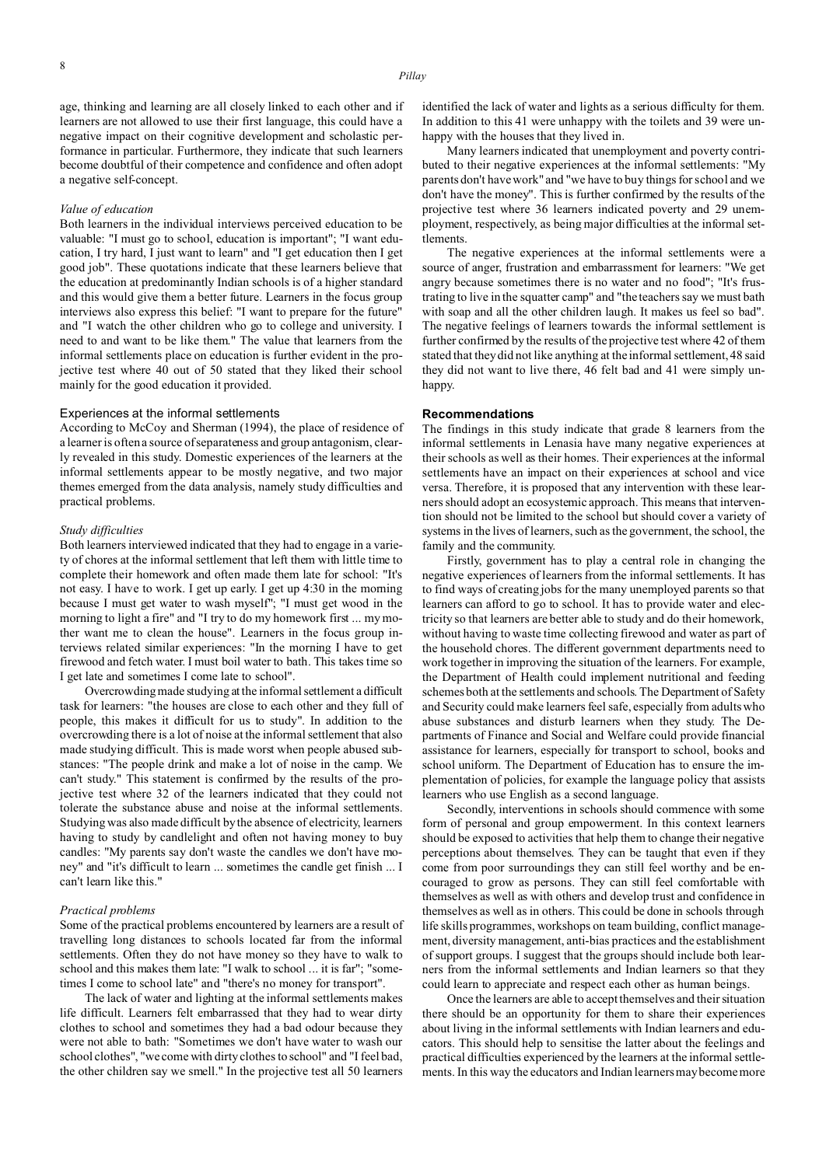age, thinking and learning are all closely linked to each other and if learners are not allowed to use their first language, this could have a negative impact on their cognitive development and scholastic performance in particular. Furthermore, they indicate that such learners become doubtful of their competence and confidence and often adopt a negative self-concept.

#### *Value of education*

Both learners in the individual interviews perceived education to be valuable: "I must go to school, education is important"; "I want education, I try hard, I just want to learn" and "I get education then I get good job". These quotations indicate that these learners believe that the education at predominantly Indian schools is of a higher standard and this would give them a better future. Learners in the focus group interviews also express this belief: "I want to prepare for the future" and "I watch the other children who go to college and university. I need to and want to be like them." The value that learners from the informal settlements place on education is further evident in the projective test where 40 out of 50 stated that they liked their school mainly for the good education it provided.

## Experiences at the informal settlements

According to McCoy and Sherman (1994), the place of residence of a learner is often a source of separateness and group antagonism, clearly revealed in this study. Domestic experiences of the learners at the informal settlements appear to be mostly negative, and two major themes emerged from the data analysis, namely study difficulties and practical problems.

#### *Study difficulties*

Both learners interviewed indicated that they had to engage in a variety of chores at the informal settlement that left them with little time to complete their homework and often made them late for school: "It's not easy. I have to work. I get up early. I get up 4:30 in the morning because I must get water to wash myself"; "I must get wood in the morning to light a fire" and "I try to do my homework first ... my mother want me to clean the house". Learners in the focus group interviews related similar experiences: "In the morning I have to get firewood and fetch water. I must boil water to bath. This takes time so I get late and sometimes I come late to school".

Overcrowding made studying at the informal settlement a difficult task for learners: "the houses are close to each other and they full of people, this makes it difficult for us to study". In addition to the overcrowding there is a lot of noise at the informal settlement that also made studying difficult. This is made worst when people abused substances: "The people drink and make a lot of noise in the camp. We can't study." This statement is confirmed by the results of the projective test where 32 of the learners indicated that they could not tolerate the substance abuse and noise at the informal settlements. Studying was also made difficult by the absence of electricity, learners having to study by candlelight and often not having money to buy candles: "My parents say don't waste the candles we don't have money" and "it's difficult to learn ... sometimes the candle get finish ... I can't learn like this."

#### *Practical problems*

Some of the practical problems encountered by learners are a result of travelling long distances to schools located far from the informal settlements. Often they do not have money so they have to walk to school and this makes them late: "I walk to school ... it is far"; "sometimes I come to school late" and "there's no money for transport".

The lack of water and lighting at the informal settlements makes life difficult. Learners felt embarrassed that they had to wear dirty clothes to school and sometimes they had a bad odour because they were not able to bath: "Sometimes we don't have water to wash our school clothes", "we come with dirty clothes to school" and "I feel bad, the other children say we smell." In the projective test all 50 learners

identified the lack of water and lights as a serious difficulty for them. In addition to this 41 were unhappy with the toilets and 39 were unhappy with the houses that they lived in.

Many learners indicated that unemployment and poverty contributed to their negative experiences at the informal settlements: "My parents don't have work" and "we have to buy things for school and we don't have the money". This is further confirmed by the results of the projective test where 36 learners indicated poverty and 29 unemployment, respectively, as being major difficulties at the informal settlements.

The negative experiences at the informal settlements were a source of anger, frustration and embarrassment for learners: "We get angry because sometimes there is no water and no food"; "It's frustrating to live in the squatter camp" and "the teachers say we must bath with soap and all the other children laugh. It makes us feel so bad". The negative feelings of learners towards the informal settlement is further confirmed by the results of the projective test where 42 of them stated that they did not like anything at the informal settlement, 48 said they did not want to live there, 46 felt bad and 41 were simply unhappy.

# **Recommendations**

The findings in this study indicate that grade 8 learners from the informal settlements in Lenasia have many negative experiences at their schools as well as their homes. Their experiences at the informal settlements have an impact on their experiences at school and vice versa. Therefore, it is proposed that any intervention with these learners should adopt an ecosystemic approach. This means that intervention should not be limited to the school but should cover a variety of systems in the lives of learners, such as the government, the school, the family and the community.

Firstly, government has to play a central role in changing the negative experiences of learners from the informal settlements. It has to find ways of creating jobs for the many unemployed parents so that learners can afford to go to school. It has to provide water and electricity so that learners are better able to study and do their homework, without having to waste time collecting firewood and water as part of the household chores. The different government departments need to work together in improving the situation of the learners. For example, the Department of Health could implement nutritional and feeding schemes both at the settlements and schools. The Department of Safety and Security could make learners feel safe, especially from adults who abuse substances and disturb learners when they study. The Departments of Finance and Social and Welfare could provide financial assistance for learners, especially for transport to school, books and school uniform. The Department of Education has to ensure the implementation of policies, for example the language policy that assists learners who use English as a second language.

Secondly, interventions in schools should commence with some form of personal and group empowerment. In this context learners should be exposed to activities that help them to change their negative perceptions about themselves. They can be taught that even if they come from poor surroundings they can still feel worthy and be encouraged to grow as persons. They can still feel comfortable with themselves as well as with others and develop trust and confidence in themselves as well as in others. This could be done in schools through life skills programmes, workshops on team building, conflict management, diversity management, anti-bias practices and the establishment of support groups. I suggest that the groups should include both learners from the informal settlements and Indian learners so that they could learn to appreciate and respect each other as human beings.

Once the learners are able to accept themselves and their situation there should be an opportunity for them to share their experiences about living in the informal settlements with Indian learners and educators. This should help to sensitise the latter about the feelings and practical difficulties experienced by the learners at the informal settlements. In this way the educators and Indian learners may become more